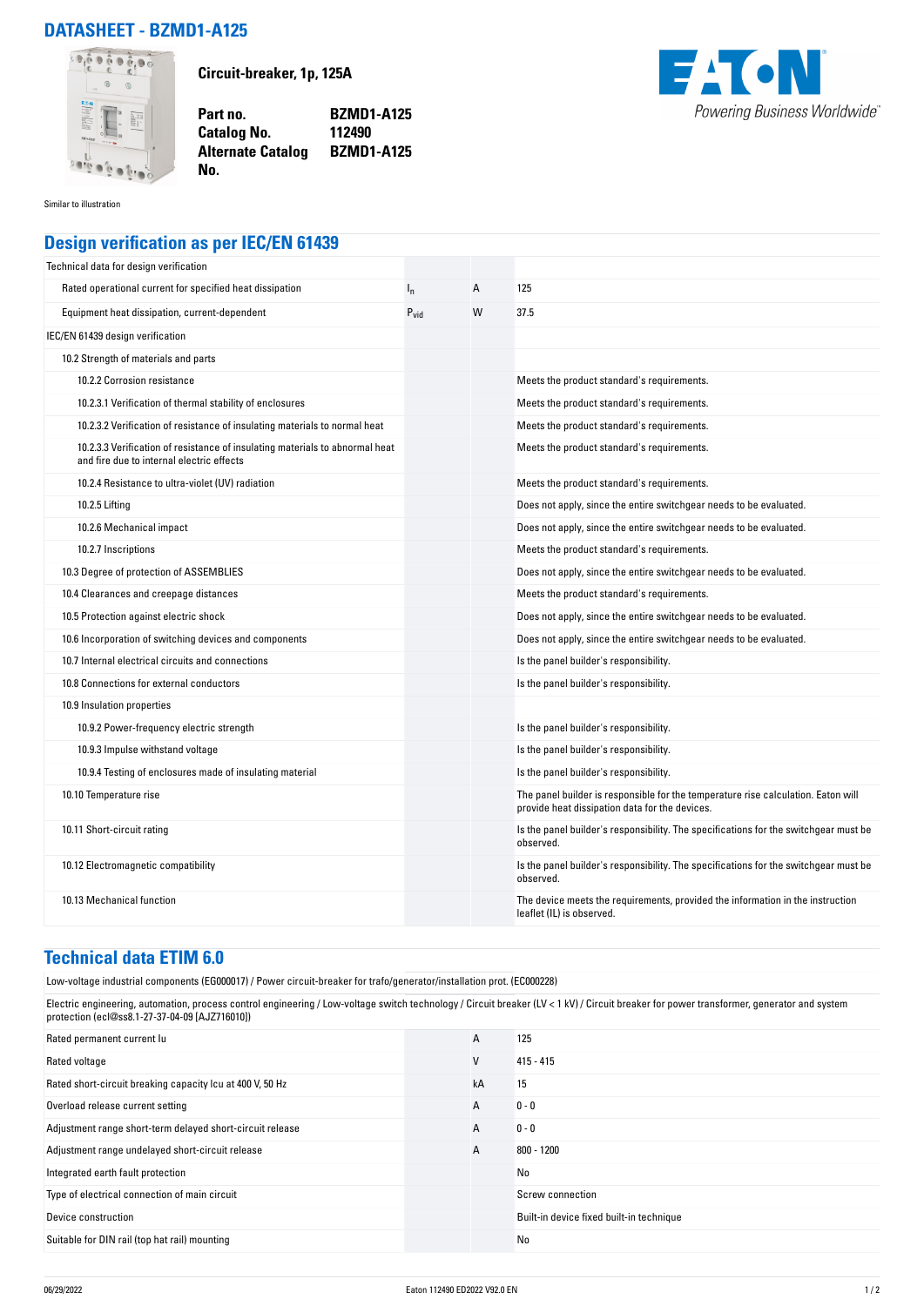## **DATASHEET - BZMD1-A125**



**Circuit-breaker, 1p, 125A**

**Part no. BZMD1-A125 Catalog No. Alternate Catalog BZMD1-A125**



Similar to illustration

## **Design verification as per IEC/EN 61439**

**No.** 

| Technical data for design verification                                                                                    |                  |   |                                                                                                                                     |
|---------------------------------------------------------------------------------------------------------------------------|------------------|---|-------------------------------------------------------------------------------------------------------------------------------------|
| Rated operational current for specified heat dissipation                                                                  | $I_{n}$          | Α | 125                                                                                                                                 |
| Equipment heat dissipation, current-dependent                                                                             | $P_{\text{vid}}$ | W | 37.5                                                                                                                                |
| IEC/EN 61439 design verification                                                                                          |                  |   |                                                                                                                                     |
| 10.2 Strength of materials and parts                                                                                      |                  |   |                                                                                                                                     |
| 10.2.2 Corrosion resistance                                                                                               |                  |   | Meets the product standard's requirements.                                                                                          |
| 10.2.3.1 Verification of thermal stability of enclosures                                                                  |                  |   | Meets the product standard's requirements.                                                                                          |
| 10.2.3.2 Verification of resistance of insulating materials to normal heat                                                |                  |   | Meets the product standard's requirements.                                                                                          |
| 10.2.3.3 Verification of resistance of insulating materials to abnormal heat<br>and fire due to internal electric effects |                  |   | Meets the product standard's requirements.                                                                                          |
| 10.2.4 Resistance to ultra-violet (UV) radiation                                                                          |                  |   | Meets the product standard's requirements.                                                                                          |
| 10.2.5 Lifting                                                                                                            |                  |   | Does not apply, since the entire switchgear needs to be evaluated.                                                                  |
| 10.2.6 Mechanical impact                                                                                                  |                  |   | Does not apply, since the entire switchgear needs to be evaluated.                                                                  |
| 10.2.7 Inscriptions                                                                                                       |                  |   | Meets the product standard's requirements.                                                                                          |
| 10.3 Degree of protection of ASSEMBLIES                                                                                   |                  |   | Does not apply, since the entire switchgear needs to be evaluated.                                                                  |
| 10.4 Clearances and creepage distances                                                                                    |                  |   | Meets the product standard's requirements.                                                                                          |
| 10.5 Protection against electric shock                                                                                    |                  |   | Does not apply, since the entire switchgear needs to be evaluated.                                                                  |
| 10.6 Incorporation of switching devices and components                                                                    |                  |   | Does not apply, since the entire switchgear needs to be evaluated.                                                                  |
| 10.7 Internal electrical circuits and connections                                                                         |                  |   | Is the panel builder's responsibility.                                                                                              |
| 10.8 Connections for external conductors                                                                                  |                  |   | Is the panel builder's responsibility.                                                                                              |
| 10.9 Insulation properties                                                                                                |                  |   |                                                                                                                                     |
| 10.9.2 Power-frequency electric strength                                                                                  |                  |   | Is the panel builder's responsibility.                                                                                              |
| 10.9.3 Impulse withstand voltage                                                                                          |                  |   | Is the panel builder's responsibility.                                                                                              |
| 10.9.4 Testing of enclosures made of insulating material                                                                  |                  |   | Is the panel builder's responsibility.                                                                                              |
| 10.10 Temperature rise                                                                                                    |                  |   | The panel builder is responsible for the temperature rise calculation. Eaton will<br>provide heat dissipation data for the devices. |
| 10.11 Short-circuit rating                                                                                                |                  |   | Is the panel builder's responsibility. The specifications for the switchgear must be<br>observed.                                   |
| 10.12 Electromagnetic compatibility                                                                                       |                  |   | Is the panel builder's responsibility. The specifications for the switchgear must be<br>observed.                                   |
| 10.13 Mechanical function                                                                                                 |                  |   | The device meets the requirements, provided the information in the instruction<br>leaflet (IL) is observed.                         |

## **Technical data ETIM 6.0**

Low-voltage industrial components (EG000017) / Power circuit-breaker for trafo/generator/installation prot. (EC000228)

Electric engineering, automation, process control engineering / Low-voltage switch technology / Circuit breaker (LV < 1 kV) / Circuit breaker for power transformer, generator and system protection (ecl@ss8.1-27-37-04-09 [AJZ716010])

| Rated permanent current lu                                | A  | 125                                      |
|-----------------------------------------------------------|----|------------------------------------------|
| Rated voltage                                             | V  | $415 - 415$                              |
| Rated short-circuit breaking capacity Icu at 400 V, 50 Hz | kA | 15                                       |
| Overload release current setting                          | A  | $0 - 0$                                  |
| Adjustment range short-term delayed short-circuit release | A  | $0 - 0$                                  |
| Adjustment range undelayed short-circuit release          | А  | $800 - 1200$                             |
| Integrated earth fault protection                         |    | No                                       |
| Type of electrical connection of main circuit             |    | Screw connection                         |
| Device construction                                       |    | Built-in device fixed built-in technique |
| Suitable for DIN rail (top hat rail) mounting             |    | No                                       |